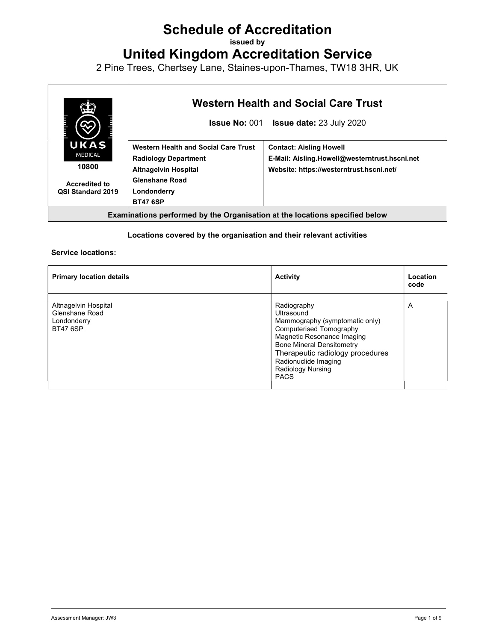## Schedule of Accreditation

issued by

United Kingdom Accreditation Service

2 Pine Trees, Chertsey Lane, Staines-upon-Thames, TW18 3HR, UK



#### Locations covered by the organisation and their relevant activities

#### Service locations:

| <b>Primary location details</b>                                          | <b>Activity</b>                                                                                                                                                                                                                                                        | Location<br>code |
|--------------------------------------------------------------------------|------------------------------------------------------------------------------------------------------------------------------------------------------------------------------------------------------------------------------------------------------------------------|------------------|
| Altnagelvin Hospital<br>Glenshane Road<br>Londonderry<br><b>BT47 6SP</b> | Radiography<br>Ultrasound<br>Mammography (symptomatic only)<br><b>Computerised Tomography</b><br>Magnetic Resonance Imaging<br><b>Bone Mineral Densitometry</b><br>Therapeutic radiology procedures<br>Radionuclide Imaging<br><b>Radiology Nursing</b><br><b>PACS</b> | A                |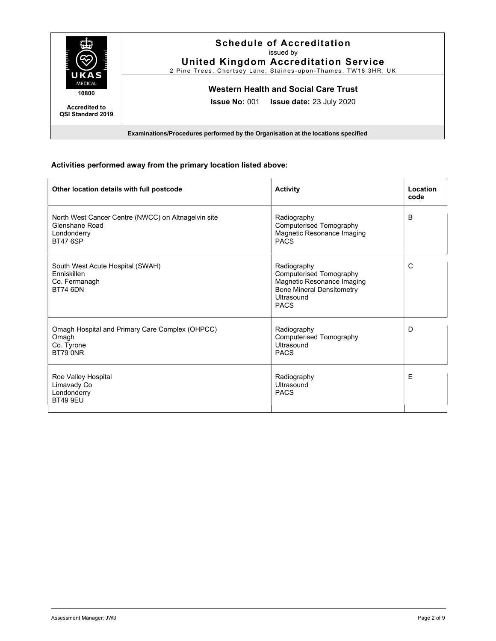

#### Activities performed away from the primary location listed above:

| Other location details with full postcode                                                               | <b>Activity</b>                                                                                                                       | Location<br>code |
|---------------------------------------------------------------------------------------------------------|---------------------------------------------------------------------------------------------------------------------------------------|------------------|
| North West Cancer Centre (NWCC) on Altnagelvin site<br>Glenshane Road<br>Londonderry<br><b>BT47 6SP</b> | Radiography<br>Computerised Tomography<br>Magnetic Resonance Imaging<br><b>PACS</b>                                                   | B                |
| South West Acute Hospital (SWAH)<br>Enniskillen<br>Co. Fermanagh<br><b>BT74 6DN</b>                     | Radiography<br>Computerised Tomography<br>Magnetic Resonance Imaging<br><b>Bone Mineral Densitometry</b><br>Ultrasound<br><b>PACS</b> | C                |
| Omagh Hospital and Primary Care Complex (OHPCC)<br>Omagh<br>Co. Tyrone<br>BT79 0NR                      | Radiography<br>Computerised Tomography<br>Ultrasound<br><b>PACS</b>                                                                   | D                |
| Roe Valley Hospital<br>Limavady Co<br>Londonderry<br><b>BT49 9EU</b>                                    | Radiography<br>Ultrasound<br><b>PACS</b>                                                                                              | Ε                |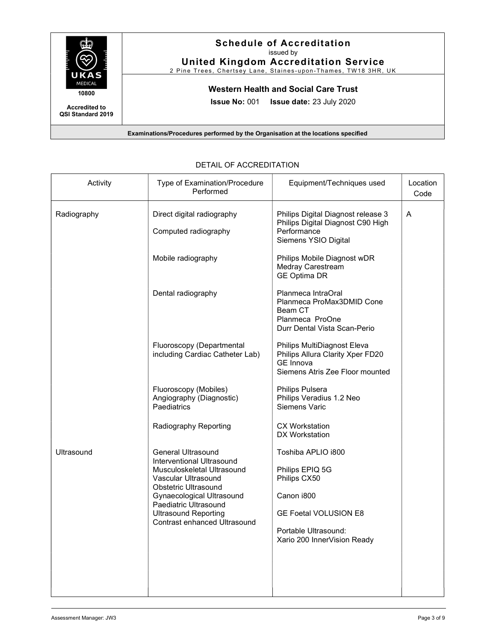

#### Schedule of Accreditation issued by

United Kingdom Accreditation Service

2 Pine Trees, Chertsey Lane, Staines-upon-Thames, TW18 3HR, UK

### Western Health and Social Care Trust

Issue No: 001 Issue date: 23 July 2020

Examinations/Procedures performed by the Organisation at the locations specified

| Activity          | Type of Examination/Procedure<br>Performed                                 | Equipment/Techniques used                                                                                              | Location<br>Code |
|-------------------|----------------------------------------------------------------------------|------------------------------------------------------------------------------------------------------------------------|------------------|
| Radiography       | Direct digital radiography<br>Computed radiography                         | Philips Digital Diagnost release 3<br>Philips Digital Diagnost C90 High<br>Performance<br>Siemens YSIO Digital         | A                |
|                   | Mobile radiography                                                         | Philips Mobile Diagnost wDR<br>Medray Carestream<br><b>GE Optima DR</b>                                                |                  |
|                   | Dental radiography                                                         | Planmeca IntraOral<br>Planmeca ProMax3DMID Cone<br>Beam CT<br>Planmeca ProOne<br>Durr Dental Vista Scan-Perio          |                  |
|                   | Fluoroscopy (Departmental<br>including Cardiac Catheter Lab)               | Philips MultiDiagnost Eleva<br>Philips Allura Clarity Xper FD20<br><b>GE Innova</b><br>Siemens Atris Zee Floor mounted |                  |
|                   | Fluoroscopy (Mobiles)<br>Angiography (Diagnostic)<br>Paediatrics           | Philips Pulsera<br>Philips Veradius 1.2 Neo<br>Siemens Varic                                                           |                  |
|                   | Radiography Reporting                                                      | <b>CX Workstation</b><br>DX Workstation                                                                                |                  |
| <b>Ultrasound</b> | General Ultrasound<br>Interventional Ultrasound                            | Toshiba APLIO i800                                                                                                     |                  |
|                   | Musculoskeletal Ultrasound<br>Vascular Ultrasound                          | Philips EPIQ 5G<br>Philips CX50                                                                                        |                  |
|                   | Obstetric Ultrasound<br>Gynaecological Ultrasound<br>Paediatric Ultrasound | Canon i800                                                                                                             |                  |
|                   | <b>Ultrasound Reporting</b><br>Contrast enhanced Ultrasound                | <b>GE Foetal VOLUSION E8</b>                                                                                           |                  |
|                   |                                                                            | Portable Ultrasound:<br>Xario 200 InnerVision Ready                                                                    |                  |
|                   |                                                                            |                                                                                                                        |                  |
|                   |                                                                            |                                                                                                                        |                  |

#### DETAIL OF ACCREDITATION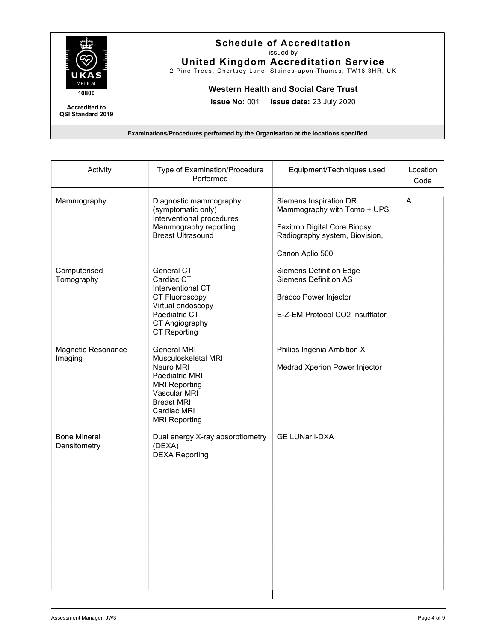

#### Schedule of Accreditation issued by

United Kingdom Accreditation Service

2 Pine Trees, Chertsey Lane, Staines-upon-Thames, TW18 3HR, UK

## Western Health and Social Care Trust

Issue No: 001 Issue date: 23 July 2020

| Activity                            | Type of Examination/Procedure<br>Performed                                                                                                                                   | Equipment/Techniques used                                                                                                                         | Location<br>Code |
|-------------------------------------|------------------------------------------------------------------------------------------------------------------------------------------------------------------------------|---------------------------------------------------------------------------------------------------------------------------------------------------|------------------|
| Mammography                         | Diagnostic mammography<br>(symptomatic only)<br>Interventional procedures<br>Mammography reporting<br><b>Breast Ultrasound</b>                                               | Siemens Inspiration DR<br>Mammography with Tomo + UPS<br><b>Faxitron Digital Core Biopsy</b><br>Radiography system, Biovision,<br>Canon Aplio 500 | A                |
| Computerised<br>Tomography          | General CT<br>Cardiac CT<br>Interventional CT<br>CT Fluoroscopy<br>Virtual endoscopy<br>Paediatric CT<br>CT Angiography<br><b>CT Reporting</b>                               | <b>Siemens Definition Edge</b><br><b>Siemens Definition AS</b><br><b>Bracco Power Injector</b><br>E-Z-EM Protocol CO2 Insufflator                 |                  |
| Magnetic Resonance<br>Imaging       | <b>General MRI</b><br>Musculoskeletal MRI<br>Neuro MRI<br>Paediatric MRI<br><b>MRI Reporting</b><br>Vascular MRI<br><b>Breast MRI</b><br>Cardiac MRI<br><b>MRI Reporting</b> | Philips Ingenia Ambition X<br>Medrad Xperion Power Injector                                                                                       |                  |
| <b>Bone Mineral</b><br>Densitometry | Dual energy X-ray absorptiometry<br>(DEXA)<br><b>DEXA Reporting</b>                                                                                                          | GE LUNar i-DXA                                                                                                                                    |                  |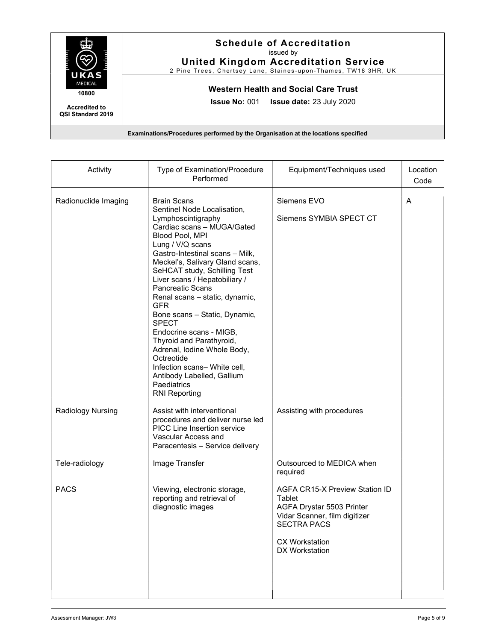

#### Schedule of Accreditation issued by

United Kingdom Accreditation Service 2 Pine Trees, Chertsey Lane, Staines-upon-Thames, TW18 3HR, UK

Western Health and Social Care Trust

Issue No: 001 Issue date: 23 July 2020

| Activity             | Type of Examination/Procedure<br>Performed                                                                                                                                                                                                                                                                                                                                                                                                                                                                                                                                                                               | Equipment/Techniques used                                                                                                                                               | Location<br>Code |
|----------------------|--------------------------------------------------------------------------------------------------------------------------------------------------------------------------------------------------------------------------------------------------------------------------------------------------------------------------------------------------------------------------------------------------------------------------------------------------------------------------------------------------------------------------------------------------------------------------------------------------------------------------|-------------------------------------------------------------------------------------------------------------------------------------------------------------------------|------------------|
| Radionuclide Imaging | <b>Brain Scans</b><br>Sentinel Node Localisation,<br>Lymphoscintigraphy<br>Cardiac scans - MUGA/Gated<br>Blood Pool, MPI<br>Lung / V/Q scans<br>Gastro-Intestinal scans - Milk,<br>Meckel's, Salivary Gland scans,<br>SeHCAT study, Schilling Test<br>Liver scans / Hepatobiliary /<br><b>Pancreatic Scans</b><br>Renal scans - static, dynamic,<br><b>GFR</b><br>Bone scans - Static, Dynamic,<br><b>SPECT</b><br>Endocrine scans - MIGB,<br>Thyroid and Parathyroid,<br>Adrenal, Iodine Whole Body,<br>Octreotide<br>Infection scans- White cell,<br>Antibody Labelled, Gallium<br>Paediatrics<br><b>RNI Reporting</b> | Siemens EVO<br>Siemens SYMBIA SPECT CT                                                                                                                                  | A                |
| Radiology Nursing    | Assist with interventional<br>procedures and deliver nurse led<br><b>PICC Line Insertion service</b><br>Vascular Access and<br>Paracentesis - Service delivery                                                                                                                                                                                                                                                                                                                                                                                                                                                           | Assisting with procedures                                                                                                                                               |                  |
| Tele-radiology       | Image Transfer                                                                                                                                                                                                                                                                                                                                                                                                                                                                                                                                                                                                           | Outsourced to MEDICA when<br>required                                                                                                                                   |                  |
| <b>PACS</b>          | Viewing, electronic storage,<br>reporting and retrieval of<br>diagnostic images                                                                                                                                                                                                                                                                                                                                                                                                                                                                                                                                          | AGFA CR15-X Preview Station ID<br>Tablet<br>AGFA Drystar 5503 Printer<br>Vidar Scanner, film digitizer<br><b>SECTRA PACS</b><br><b>CX Workstation</b><br>DX Workstation |                  |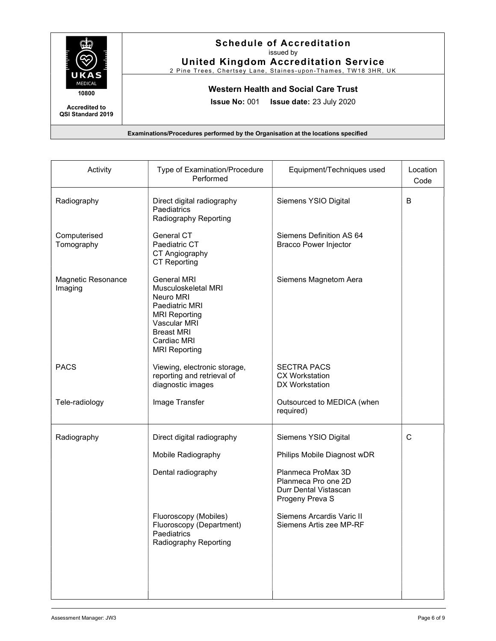

#### Schedule of Accreditation issued by

United Kingdom Accreditation Service

2 Pine Trees, Chertsey Lane, Staines-upon-Thames, TW18 3HR, UK

## Western Health and Social Care Trust

Issue No: 001 Issue date: 23 July 2020

| Activity                      | Type of Examination/Procedure<br>Performed                                                                                                                                   | Equipment/Techniques used                                                                                                                                                                            | Location<br>Code |
|-------------------------------|------------------------------------------------------------------------------------------------------------------------------------------------------------------------------|------------------------------------------------------------------------------------------------------------------------------------------------------------------------------------------------------|------------------|
| Radiography                   | Direct digital radiography<br>Paediatrics<br>Radiography Reporting                                                                                                           | Siemens YSIO Digital                                                                                                                                                                                 | B                |
| Computerised<br>Tomography    | General CT<br>Paediatric CT<br>CT Angiography<br><b>CT Reporting</b>                                                                                                         | Siemens Definition AS 64<br><b>Bracco Power Injector</b>                                                                                                                                             |                  |
| Magnetic Resonance<br>Imaging | <b>General MRI</b><br>Musculoskeletal MRI<br>Neuro MRI<br>Paediatric MRI<br><b>MRI Reporting</b><br>Vascular MRI<br><b>Breast MRI</b><br>Cardiac MRI<br><b>MRI Reporting</b> | Siemens Magnetom Aera                                                                                                                                                                                |                  |
| <b>PACS</b>                   | Viewing, electronic storage,<br>reporting and retrieval of<br>diagnostic images                                                                                              | <b>SECTRA PACS</b><br><b>CX Workstation</b><br>DX Workstation                                                                                                                                        |                  |
| Tele-radiology                | Image Transfer                                                                                                                                                               | Outsourced to MEDICA (when<br>required)                                                                                                                                                              |                  |
| Radiography                   | Direct digital radiography<br>Mobile Radiography<br>Dental radiography<br>Fluoroscopy (Mobiles)<br>Fluoroscopy (Department)<br>Paediatrics<br>Radiography Reporting          | Siemens YSIO Digital<br>Philips Mobile Diagnost wDR<br>Planmeca ProMax 3D<br>Planmeca Pro one 2D<br>Durr Dental Vistascan<br>Progeny Preva S<br>Siemens Arcardis Varic II<br>Siemens Artis zee MP-RF | C                |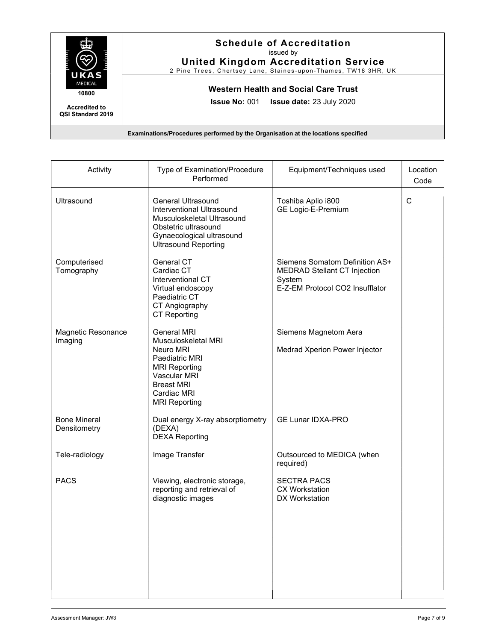

# Schedule of Accreditation

issued by

United Kingdom Accreditation Service

2 Pine Trees, Chertsey Lane, Staines-upon-Thames, TW18 3HR, UK

## Western Health and Social Care Trust

Issue No: 001 Issue date: 23 July 2020

| Activity                            | Type of Examination/Procedure<br>Performed                                                                                                                                   | Equipment/Techniques used                                                                                          | Location<br>Code |
|-------------------------------------|------------------------------------------------------------------------------------------------------------------------------------------------------------------------------|--------------------------------------------------------------------------------------------------------------------|------------------|
| Ultrasound                          | <b>General Ultrasound</b><br>Interventional Ultrasound<br>Musculoskeletal Ultrasound<br>Obstetric ultrasound<br>Gynaecological ultrasound<br><b>Ultrasound Reporting</b>     | Toshiba Aplio i800<br><b>GE Logic-E-Premium</b>                                                                    | $\mathsf{C}$     |
| Computerised<br>Tomography          | General CT<br>Cardiac CT<br>Interventional CT<br>Virtual endoscopy<br>Paediatric CT<br>CT Angiography<br><b>CT Reporting</b>                                                 | Siemens Somatom Definition AS+<br><b>MEDRAD Stellant CT Injection</b><br>System<br>E-Z-EM Protocol CO2 Insufflator |                  |
| Magnetic Resonance<br>Imaging       | <b>General MRI</b><br>Musculoskeletal MRI<br>Neuro MRI<br>Paediatric MRI<br><b>MRI Reporting</b><br>Vascular MRI<br><b>Breast MRI</b><br>Cardiac MRI<br><b>MRI Reporting</b> | Siemens Magnetom Aera<br>Medrad Xperion Power Injector                                                             |                  |
| <b>Bone Mineral</b><br>Densitometry | Dual energy X-ray absorptiometry<br>(DEXA)<br><b>DEXA Reporting</b>                                                                                                          | <b>GE Lunar IDXA-PRO</b>                                                                                           |                  |
| Tele-radiology                      | Image Transfer                                                                                                                                                               | Outsourced to MEDICA (when<br>required)                                                                            |                  |
| <b>PACS</b>                         | Viewing, electronic storage,<br>reporting and retrieval of<br>diagnostic images                                                                                              | <b>SECTRA PACS</b><br><b>CX Workstation</b><br>DX Workstation                                                      |                  |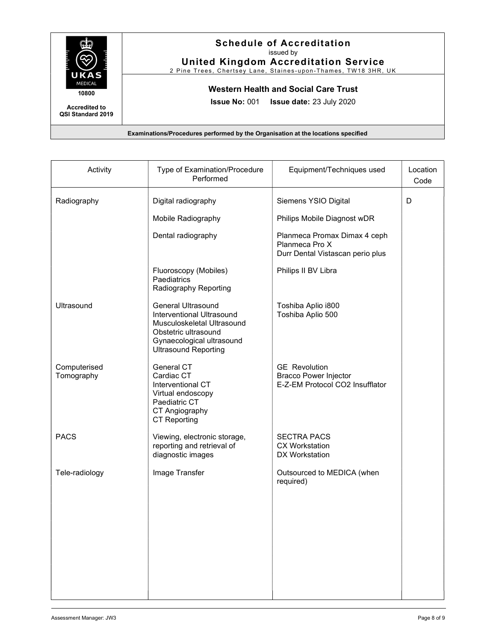

#### Schedule of Accreditation issued by

United Kingdom Accreditation Service

2 Pine Trees, Chertsey Lane, Staines-upon-Thames, TW18 3HR, UK

## Western Health and Social Care Trust

Issue No: 001 Issue date: 23 July 2020

| Activity                   | Type of Examination/Procedure<br>Performed                                                                                                                               | Equipment/Techniques used                                                               | Location<br>Code |
|----------------------------|--------------------------------------------------------------------------------------------------------------------------------------------------------------------------|-----------------------------------------------------------------------------------------|------------------|
| Radiography                | Digital radiography                                                                                                                                                      | Siemens YSIO Digital                                                                    | D                |
|                            | Mobile Radiography                                                                                                                                                       | Philips Mobile Diagnost wDR                                                             |                  |
|                            | Dental radiography                                                                                                                                                       | Planmeca Promax Dimax 4 ceph<br>Planmeca Pro X<br>Durr Dental Vistascan perio plus      |                  |
|                            | Fluoroscopy (Mobiles)<br>Paediatrics<br>Radiography Reporting                                                                                                            | Philips II BV Libra                                                                     |                  |
| Ultrasound                 | <b>General Ultrasound</b><br>Interventional Ultrasound<br>Musculoskeletal Ultrasound<br>Obstetric ultrasound<br>Gynaecological ultrasound<br><b>Ultrasound Reporting</b> | Toshiba Aplio i800<br>Toshiba Aplio 500                                                 |                  |
| Computerised<br>Tomography | General CT<br>Cardiac CT<br>Interventional CT<br>Virtual endoscopy<br>Paediatric CT<br>CT Angiography<br><b>CT Reporting</b>                                             | <b>GE</b> Revolution<br><b>Bracco Power Injector</b><br>E-Z-EM Protocol CO2 Insufflator |                  |
| <b>PACS</b>                | Viewing, electronic storage,<br>reporting and retrieval of<br>diagnostic images                                                                                          | <b>SECTRA PACS</b><br><b>CX Workstation</b><br>DX Workstation                           |                  |
| Tele-radiology             | Image Transfer                                                                                                                                                           | Outsourced to MEDICA (when<br>required)                                                 |                  |
|                            |                                                                                                                                                                          |                                                                                         |                  |